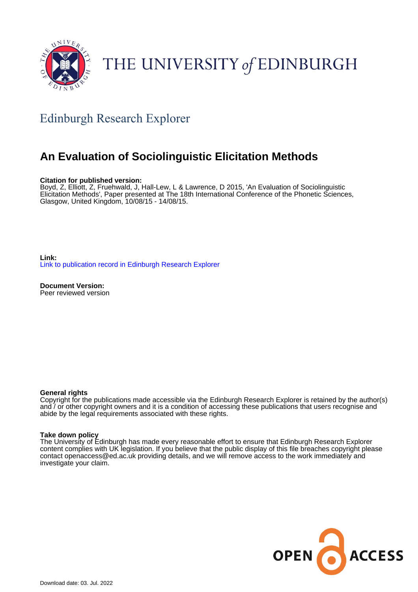

# THE UNIVERSITY of EDINBURGH

## Edinburgh Research Explorer

### **An Evaluation of Sociolinguistic Elicitation Methods**

#### **Citation for published version:**

Boyd, Z, Elliott, Z, Fruehwald, J, Hall-Lew, L & Lawrence, D 2015, 'An Evaluation of Sociolinguistic Elicitation Methods', Paper presented at The 18th International Conference of the Phonetic Sciences, Glasgow, United Kingdom, 10/08/15 - 14/08/15.

**Link:** [Link to publication record in Edinburgh Research Explorer](https://www.research.ed.ac.uk/en/publications/a2442c86-adf5-433e-9e76-9ca21b2d373f)

**Document Version:** Peer reviewed version

#### **General rights**

Copyright for the publications made accessible via the Edinburgh Research Explorer is retained by the author(s) and / or other copyright owners and it is a condition of accessing these publications that users recognise and abide by the legal requirements associated with these rights.

#### **Take down policy**

The University of Edinburgh has made every reasonable effort to ensure that Edinburgh Research Explorer content complies with UK legislation. If you believe that the public display of this file breaches copyright please contact openaccess@ed.ac.uk providing details, and we will remove access to the work immediately and investigate your claim.

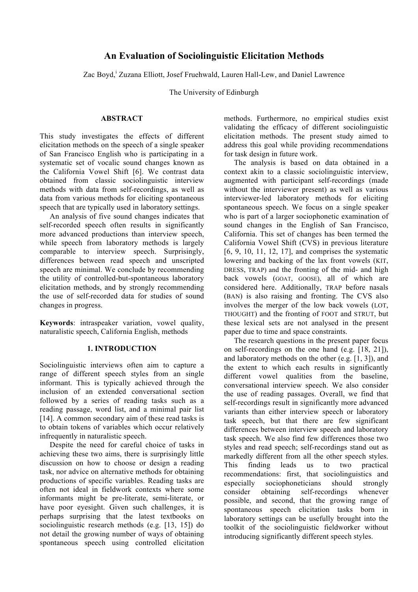### **An Evaluation of Sociolinguistic Elicitation Methods**

Zac Boyd, Zuzana Elliott, Josef Fruehwald, Lauren Hall-Lew, and Daniel Lawrence

The University of Edinburgh

#### **ABSTRACT**

This study investigates the effects of different elicitation methods on the speech of a single speaker of San Francisco English who is participating in a systematic set of vocalic sound changes known as the California Vowel Shift [6]. We contrast data obtained from classic sociolinguistic interview methods with data from self-recordings, as well as data from various methods for eliciting spontaneous speech that are typically used in laboratory settings.

An analysis of five sound changes indicates that self-recorded speech often results in significantly more advanced productions than interview speech, while speech from laboratory methods is largely comparable to interview speech. Surprisingly, differences between read speech and unscripted speech are minimal. We conclude by recommending the utility of controlled-but-spontaneous laboratory elicitation methods, and by strongly recommending the use of self-recorded data for studies of sound changes in progress.

**Keywords**: intraspeaker variation, vowel quality, naturalistic speech, California English, methods

#### **1. INTRODUCTION**

Sociolinguistic interviews often aim to capture a range of different speech styles from an single informant. This is typically achieved through the inclusion of an extended conversational section followed by a series of reading tasks such as a reading passage, word list, and a minimal pair list [14]. A common secondary aim of these read tasks is to obtain tokens of variables which occur relatively infrequently in naturalistic speech.

Despite the need for careful choice of tasks in achieving these two aims, there is surprisingly little discussion on how to choose or design a reading task, nor advice on alternative methods for obtaining productions of specific variables. Reading tasks are often not ideal in fieldwork contexts where some informants might be pre-literate, semi-literate, or have poor eyesight. Given such challenges, it is perhaps surprising that the latest textbooks on sociolinguistic research methods (e.g. [13, 15]) do not detail the growing number of ways of obtaining spontaneous speech using controlled elicitation methods. Furthermore, no empirical studies exist validating the efficacy of different sociolinguistic elicitation methods. The present study aimed to address this goal while providing recommendations for task design in future work.

The analysis is based on data obtained in a context akin to a classic sociolinguistic interview, augmented with participant self-recordings (made without the interviewer present) as well as various interviewer-led laboratory methods for eliciting spontaneous speech. We focus on a single speaker who is part of a larger sociophonetic examination of sound changes in the English of San Francisco, California. This set of changes has been termed the California Vowel Shift (CVS) in previous literature [6, 9, 10, 11, 12, 17], and comprises the systematic lowering and backing of the lax front vowels (KIT, DRESS, TRAP) and the fronting of the mid- and high back vowels (GOAT, GOOSE), all of which are considered here. Additionally, TRAP before nasals (BAN) is also raising and fronting. The CVS also involves the merger of the low back vowels (LOT, THOUGHT) and the fronting of FOOT and STRUT, but these lexical sets are not analysed in the present paper due to time and space constraints.

The research questions in the present paper focus on self-recordings on the one hand (e.g. [18, 21]), and laboratory methods on the other (e.g. [1, 3]), and the extent to which each results in significantly different vowel qualities from the baseline, conversational interview speech. We also consider the use of reading passages. Overall, we find that self-recordings result in significantly more advanced variants than either interview speech or laboratory task speech, but that there are few significant differences between interview speech and laboratory task speech. We also find few differences those two styles and read speech; self-recordings stand out as markedly different from all the other speech styles. This finding leads us to two practical recommendations: first, that sociolinguistics and especially sociophoneticians should strongly consider obtaining self-recordings whenever possible, and second, that the growing range of spontaneous speech elicitation tasks born in laboratory settings can be usefully brought into the toolkit of the sociolinguistic fieldworker without introducing significantly different speech styles.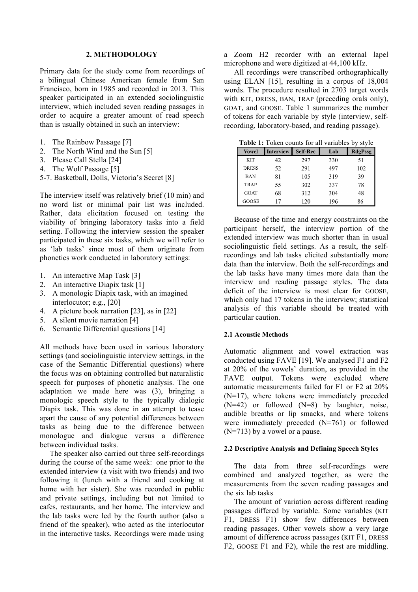#### **2. METHODOLOGY**

Primary data for the study come from recordings of a bilingual Chinese American female from San Francisco, born in 1985 and recorded in 2013. This speaker participated in an extended sociolinguistic interview, which included seven reading passages in order to acquire a greater amount of read speech than is usually obtained in such an interview:

- 1. The Rainbow Passage [7]
- 2. The North Wind and the Sun [5]
- 3. Please Call Stella [24]
- 4. The Wolf Passage [5]
- 5-7. Basketball, Dolls, Victoria's Secret [8]

The interview itself was relatively brief (10 min) and no word list or minimal pair list was included. Rather, data elicitation focused on testing the viability of bringing laboratory tasks into a field setting. Following the interview session the speaker participated in these six tasks, which we will refer to as 'lab tasks' since most of them originate from phonetics work conducted in laboratory settings:

- 1. An interactive Map Task [3]
- 2. An interactive Diapix task [1]
- 3. A monologic Diapix task, with an imagined interlocutor; e.g., [20]
- 4. A picture book narration [23], as in [22]
- 5. A silent movie narration [4]
- 6. Semantic Differential questions [14]

All methods have been used in various laboratory settings (and sociolinguistic interview settings, in the case of the Semantic Differential questions) where the focus was on obtaining controlled but naturalistic speech for purposes of phonetic analysis. The one adaptation we made here was (3), bringing a monologic speech style to the typically dialogic Diapix task. This was done in an attempt to tease apart the cause of any potential differences between tasks as being due to the difference between monologue and dialogue versus a difference between individual tasks.

The speaker also carried out three self-recordings during the course of the same week: one prior to the extended interview (a visit with two friends) and two following it (lunch with a friend and cooking at home with her sister). She was recorded in public and private settings, including but not limited to cafes, restaurants, and her home. The interview and the lab tasks were led by the fourth author (also a friend of the speaker), who acted as the interlocutor in the interactive tasks. Recordings were made using

a Zoom H2 recorder with an external lapel microphone and were digitized at 44,100 kHz.

All recordings were transcribed orthographically using ELAN [15], resulting in a corpus of 18,004 words. The procedure resulted in 2703 target words with KIT, DRESS, BAN, TRAP (preceding orals only), GOAT, and GOOSE. Table 1 summarizes the number of tokens for each variable by style (interview, selfrecording, laboratory-based, and reading passage).

**Table 1:** Token counts for all variables by style

| <b>Vowel</b> | <b>Interview</b> | <b>Self-Rec</b> | Lab | <b>RdgPssg</b> |
|--------------|------------------|-----------------|-----|----------------|
| <b>KIT</b>   | 42               | 297             | 330 | 51             |
| <b>DRESS</b> | 52               | 291             | 497 | 102            |
| <b>BAN</b>   | 81               | 105             | 319 | 39             |
| <b>TRAP</b>  | 55               | 302             | 337 | 78             |
| <b>GOAT</b>  | 68               | 312             | 304 | 48             |
| GOOSE        | 17               | 120             | 196 | 86             |

Because of the time and energy constraints on the participant herself, the interview portion of the extended interview was much shorter than in usual sociolinguistic field settings. As a result, the selfrecordings and lab tasks elicited substantially more data than the interview. Both the self-recordings and the lab tasks have many times more data than the interview and reading passage styles. The data deficit of the interview is most clear for GOOSE, which only had 17 tokens in the interview; statistical analysis of this variable should be treated with particular caution.

#### **2.1 Acoustic Methods**

Automatic alignment and vowel extraction was conducted using FAVE [19]. We analysed F1 and F2 at 20% of the vowels' duration, as provided in the FAVE output. Tokens were excluded where automatic measurements failed for F1 or F2 at 20% (N=17), where tokens were immediately preceded (N=42) or followed (N=8) by laughter, noise, audible breaths or lip smacks, and where tokens were immediately preceded (N=761) or followed (N=713) by a vowel or a pause.

#### **2.2 Descriptive Analysis and Defining Speech Styles**

The data from three self-recordings were combined and analyzed together, as were the measurements from the seven reading passages and the six lab tasks

The amount of variation across different reading passages differed by variable. Some variables (KIT F1, DRESS F1) show few differences between reading passages. Other vowels show a very large amount of difference across passages (KIT F1, DRESS F2, GOOSE F1 and F2), while the rest are middling.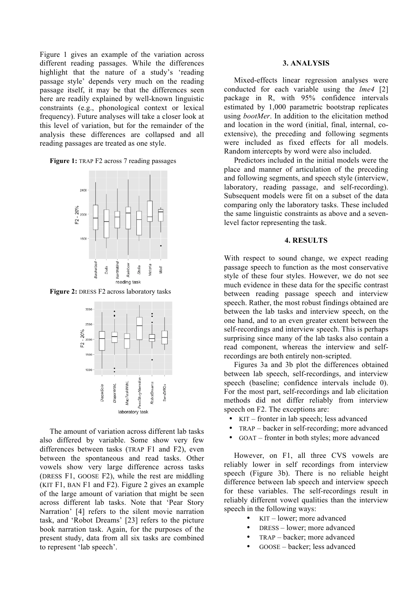Figure 1 gives an example of the variation across different reading passages. While the differences highlight that the nature of a study's 'reading passage style' depends very much on the reading passage itself, it may be that the differences seen here are readily explained by well-known linguistic constraints (e.g., phonological context or lexical frequency). Future analyses will take a closer look at this level of variation, but for the remainder of the analysis these differences are collapsed and all reading passages are treated as one style.

**Figure 1:** TRAP F2 across 7 reading passages



**Figure 2:** DRESS F2 across laboratory tasks



The amount of variation across different lab tasks also differed by variable. Some show very few differences between tasks (TRAP F1 and F2), even between the spontaneous and read tasks. Other vowels show very large difference across tasks (DRESS F1, GOOSE F2), while the rest are middling (KIT F1, BAN F1 and F2). Figure 2 gives an example of the large amount of variation that might be seen across different lab tasks. Note that 'Pear Story Narration' [4] refers to the silent movie narration task, and 'Robot Dreams' [23] refers to the picture book narration task. Again, for the purposes of the present study, data from all six tasks are combined to represent 'lab speech'.

#### **3. ANALYSIS**

Mixed-effects linear regression analyses were conducted for each variable using the *lme4* [2] package in R, with 95% confidence intervals estimated by 1,000 parametric bootstrap replicates using *bootMer*. In addition to the elicitation method and location in the word (initial, final, internal, coextensive), the preceding and following segments were included as fixed effects for all models. Random intercepts by word were also included.

Predictors included in the initial models were the place and manner of articulation of the preceding and following segments, and speech style (interview, laboratory, reading passage, and self-recording). Subsequent models were fit on a subset of the data comparing only the laboratory tasks. These included the same linguistic constraints as above and a sevenlevel factor representing the task.

#### **4. RESULTS**

With respect to sound change, we expect reading passage speech to function as the most conservative style of these four styles. However, we do not see much evidence in these data for the specific contrast between reading passage speech and interview speech. Rather, the most robust findings obtained are between the lab tasks and interview speech, on the one hand, and to an even greater extent between the self-recordings and interview speech. This is perhaps surprising since many of the lab tasks also contain a read component, whereas the interview and selfrecordings are both entirely non-scripted.

Figures 3a and 3b plot the differences obtained between lab speech, self-recordings, and interview speech (baseline; confidence intervals include 0). For the most part, self-recordings and lab elicitation methods did not differ reliably from interview speech on F2. The exceptions are:

- KIT fronter in lab speech; less advanced
- TRAP backer in self-recording; more advanced
- GOAT fronter in both styles; more advanced

However, on F1, all three CVS vowels are reliably lower in self recordings from interview speech (Figure 3b). There is no reliable height difference between lab speech and interview speech for these variables. The self-recordings result in reliably different vowel qualities than the interview speech in the following ways:

- KIT lower; more advanced
- DRESS lower; more advanced
- TRAP backer; more advanced
- GOOSE backer; less advanced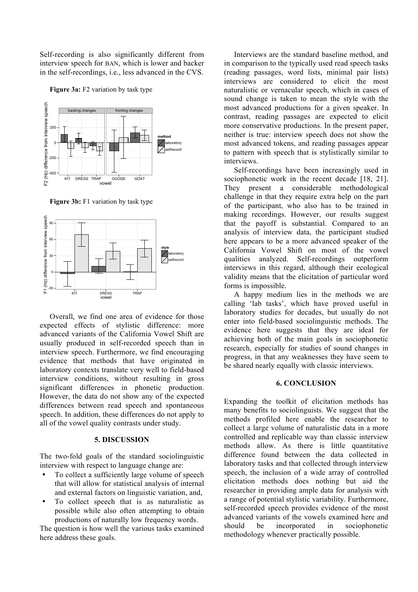Self-recording is also significantly different from interview speech for BAN, which is lower and backer in the self-recordings, i.e., less advanced in the CVS.

**Figure 3a:** F2 variation by task type



**Figure 3b:** F1 variation by task type



Overall, we find one area of evidence for those expected effects of stylistic difference: more advanced variants of the California Vowel Shift are usually produced in self-recorded speech than in interview speech. Furthermore, we find encouraging evidence that methods that have originated in laboratory contexts translate very well to field-based interview conditions, without resulting in gross significant differences in phonetic production. However, the data do not show any of the expected differences between read speech and spontaneous speech. In addition, these differences do not apply to all of the vowel quality contrasts under study.

#### **5. DISCUSSION**

The two-fold goals of the standard sociolinguistic interview with respect to language change are:

- To collect a sufficiently large volume of speech that will allow for statistical analysis of internal and external factors on linguistic variation, and,
- To collect speech that is as naturalistic as possible while also often attempting to obtain productions of naturally low frequency words.

The question is how well the various tasks examined here address these goals.

Interviews are the standard baseline method, and in comparison to the typically used read speech tasks (reading passages, word lists, minimal pair lists) interviews are considered to elicit the most naturalistic or vernacular speech, which in cases of sound change is taken to mean the style with the most advanced productions for a given speaker. In contrast, reading passages are expected to elicit more conservative productions. In the present paper, neither is true: interview speech does not show the most advanced tokens, and reading passages appear to pattern with speech that is stylistically similar to interviews.

Self-recordings have been increasingly used in sociophonetic work in the recent decade [18, 21]. They present a considerable methodological challenge in that they require extra help on the part of the participant, who also has to be trained in making recordings. However, our results suggest that the payoff is substantial. Compared to an analysis of interview data, the participant studied here appears to be a more advanced speaker of the California Vowel Shift on most of the vowel qualities analyzed. Self-recordings outperform interviews in this regard, although their ecological validity means that the elicitation of particular word forms is impossible.

A happy medium lies in the methods we are calling 'lab tasks', which have proved useful in laboratory studies for decades, but usually do not enter into field-based sociolinguistic methods. The evidence here suggests that they are ideal for achieving both of the main goals in sociophonetic research, especially for studies of sound changes in progress, in that any weaknesses they have seem to be shared nearly equally with classic interviews.

#### **6. CONCLUSION**

Expanding the toolkit of elicitation methods has many benefits to sociolinguists. We suggest that the methods profiled here enable the researcher to collect a large volume of naturalistic data in a more controlled and replicable way than classic interview methods allow. As there is little quantitative difference found between the data collected in laboratory tasks and that collected through interview speech, the inclusion of a wide array of controlled elicitation methods does nothing but aid the researcher in providing ample data for analysis with a range of potential stylistic variability. Furthermore, self-recorded speech provides evidence of the most advanced variants of the vowels examined here and should be incorporated in sociophonetic methodology whenever practically possible.